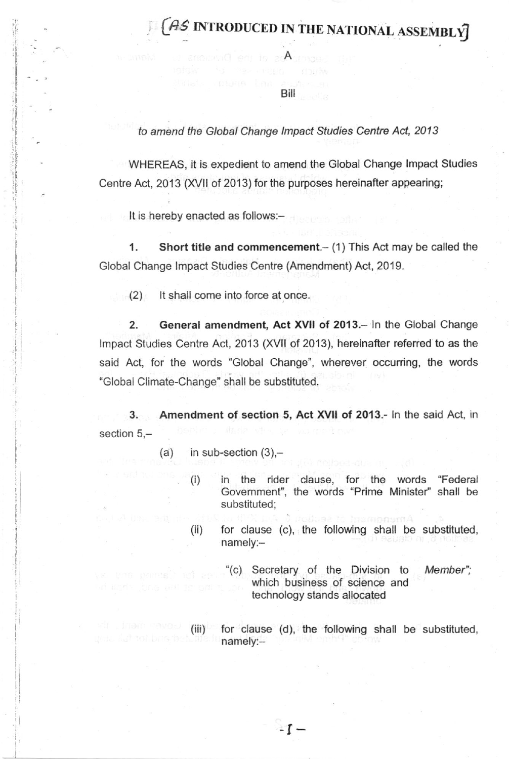## $\hat{A}\hat{S}$  introduced in the national assembly

Bill

 $\mathsf{A}$ 

## to amend the Global Change lmpact Studies Centre Act, 2013

WHEREAS, it is expedient to amend the Global Change lmpact Studies Centre Act, 2013 (XVll of 2013) for the purposes hereinafter appearing;

It is hereby enacted as follows:-

I ,i ;l i  $\frac{1}{2}$ ti<br>Pilipina il  $\mathbb{I}$ .i

> 1. Short title and commencement. $-$  (1) This Act may be called the Global Change lmpact Studies Centre (Amendment) Act, 2019.

 $\langle 2 \rangle$  It shall come into force at once.

2. General amendment, Act XVII of 2013.- In the Global Change lmpact Studies Centre Act, 2013 (XVII of 2013), hereinafter referred to as the said Act, for the words "Global Change", wherever occurring, the words "Global Climate-Change" shall be substituted.

3. Amendment of section 5, Act XVll of 2O13.- ln the said Act, in section 5.-

 $(a)$  in sub-section  $(3)$ ,-

- (i) in the rider clause, for the words "Federal Government", the words "Prime Minister" shall be substituted;
- (ii) for clause (c), the following shall be substituted, namely:-
	- "(c) Secretary of the Division to Member'; which business of science and technology stands allocated
- (iii) for clause (d), the following shall be substituted, namely:-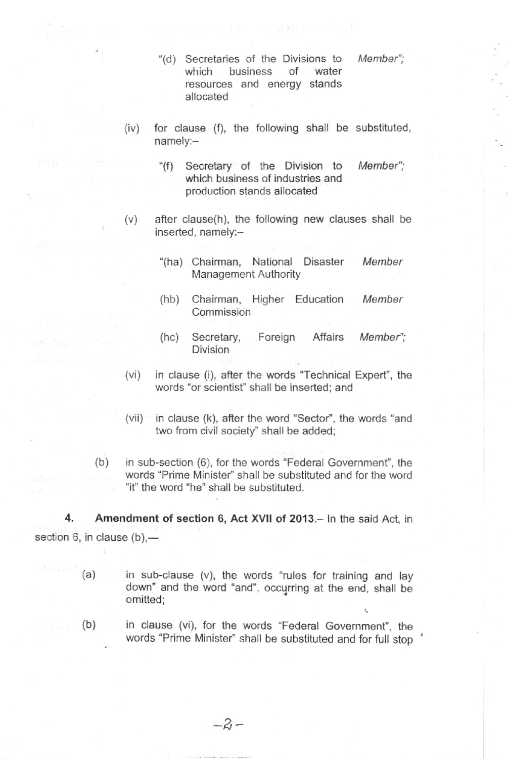- "(d) Secretaries of the Divisions to Member";<br>which business of water business resources and energy stands allocated
- $(iv)$  for clause  $(f)$ , the following shall be substituted, namely:-
	- "(f) Secretary of the Division to Member"; which business of industries and production stands allocated
- (v) after clause(h), the following new clauses shall be inserted, namely:-
	- "(ha) Chairman, National Disaster Management Authority Member
	- (hb) Chairman, Higher Education Commission Member
	- (hc) Secretary, Division Foreign Affairs Member":
- (vi) in clause (i), after the words "Technical Expert", the words "or scientist" shall be inserted; and
- (vii) in clause (k), after the word'Soctor', the words "and two from civil society" shall be added;
- (b) in sub-section (6), for the words "Federal Government', the words "Prime Minister" shall be substituted and for the word "it" the word "he' shall be substituted.

4. Amendment of section 6, Act XVII of 2013.- In the said Act, in section 6, in clause  $(b)$ ,-

- (a) in sub-clause (v), the words "rules for training and lay down" and the word "and", occurring at the end, shall be omitted;
- in clause (vi), for the words "Federal Government", the words "Prime Minister" shall be substituted and for full stop (b)

 $-2 -$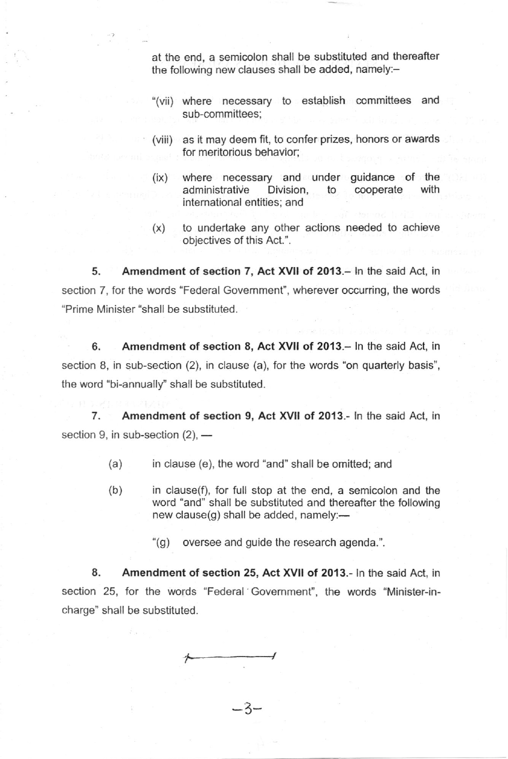at the end, a semicolon shall be substituted and theroafter the following new clauses shall be added, namely:-

- "(vii) where necessary to establish commiftees and sub-committees:
- (viii) as it may deem fit, to confer prizes, honors or awards for meritorious behavior;
- (ix) where necessary and under guidance of the administrative Division. intemational entities; and cooperate with to
- (x) to undertake any other actions needed to achieve objectives of this Act.".

5. Amendment of section 7, Act XVII of 2013.- In the said Act, in section 7, for the words "Federal Govemment", wherever occurring, the words "Prime Minister "shall be substituted.

6. Amendment of section 8, Act XVll of 2013.- ln the said Act, in section 8, in sub-section (2), in clause (a), for the words "on quarterly basis", the word "bi-annually" shall be substituted.

7. Amendment of section 9, Act XVll of 2013.- ln the said Act, in section 9, in sub-section (2), –

- (a) in clause (e), the word "and" shall be omifted; and
- (b) in clause(f), for full stop at the end, a semicolon and the word "and" shall be substituted and thereafter the following new clause(g) shall be added, namely: $-$ 
	- "(g) oversee and guide the research agenda."

8. Amendment of section 25, Act XVll of 2013.- ln the said Act, in section 25, for the words "Federal Government", the words "Minister-incharge" shall be substituted.

-3-